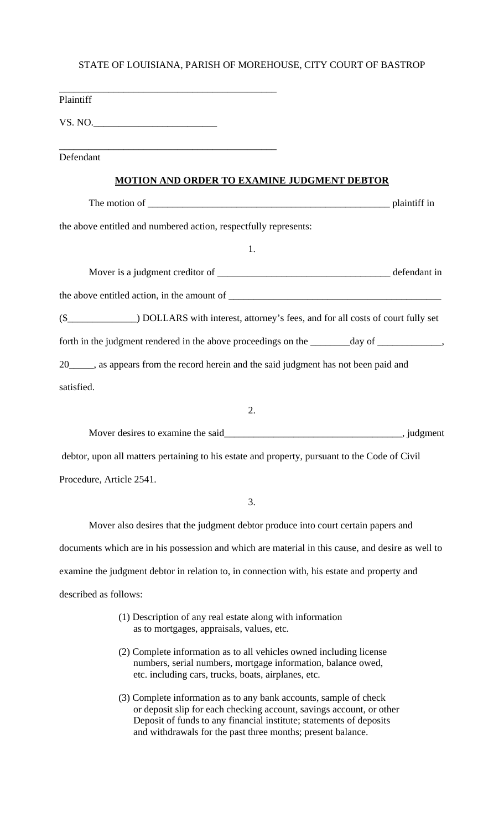| Plaintiff                                                                                                        |  |
|------------------------------------------------------------------------------------------------------------------|--|
| VS. NO.                                                                                                          |  |
|                                                                                                                  |  |
| Defendant                                                                                                        |  |
| <b>MOTION AND ORDER TO EXAMINE JUDGMENT DEBTOR</b>                                                               |  |
| The motion of plaintiff in                                                                                       |  |
| the above entitled and numbered action, respectfully represents:                                                 |  |
| 1.                                                                                                               |  |
|                                                                                                                  |  |
|                                                                                                                  |  |
| (\$___________________) DOLLARS with interest, attorney's fees, and for all costs of court fully set             |  |
| forth in the judgment rendered in the above proceedings on the ________day of ______________,                    |  |
| 20_____, as appears from the record herein and the said judgment has not been paid and                           |  |
| satisfied.                                                                                                       |  |
| 2.                                                                                                               |  |
| Mover desires to examine the said<br><u>Mover desires</u> to examine the said<br><u>Mover desires</u> , judgment |  |
| debtor, upon all matters pertaining to his estate and property, pursuant to the Code of Civil                    |  |
| Procedure, Article 2541.                                                                                         |  |
| 3.                                                                                                               |  |

Mover also desires that the judgment debtor produce into court certain papers and documents which are in his possession and which are material in this cause, and desire as well to examine the judgment debtor in relation to, in connection with, his estate and property and described as follows:

- (1) Description of any real estate along with information as to mortgages, appraisals, values, etc.
- (2) Complete information as to all vehicles owned including license numbers, serial numbers, mortgage information, balance owed, etc. including cars, trucks, boats, airplanes, etc.
- (3) Complete information as to any bank accounts, sample of check or deposit slip for each checking account, savings account, or other Deposit of funds to any financial institute; statements of deposits and withdrawals for the past three months; present balance.

## STATE OF LOUISIANA, PARISH OF MOREHOUSE, CITY COURT OF BASTROP